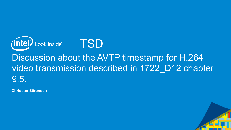

# Discussion about the AVTP timestamp for H.264 video transmission described in 1722 D12 chapter 9.5.

**Christian Sörensen**

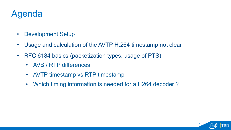### Agenda

- Development Setup
- Usage and calculation of the AVTP H.264 timestamp not clear
- RFC 6184 basics (packetization types, usage of PTS)
	- AVB / RTP differences
	- AVTP timestamp vs RTP timestamp
	- Which timing information is needed for a H264 decoder ?

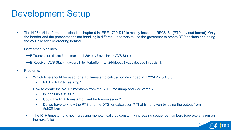## Development Setup

- The H.264 Video format descibed in chapter 9 in IEEE 1722-D12 is mainly based on RFC6184 (RTP payload format). Only the header and the presentation time handling is different. Idea was to use the gstreamer to create RTP packets and doing the AVTP header re-ordering behind.
- Gstreamer pipelines:

AVB Transmitter: filesrc ! qtdemux ! rtph264pay ! avbsink -> AVB Stack

AVB Receiver: AVB Stack ->avbsrc ! rtpjitterbuffer ! rtph264depay ! vaapidecode ! vaapisink

- Problems:
	- Which time should be used for avtp\_timestamp calcualtion described in 1722-D12 5.4.3.8
		- PTS or RTP timestamp?
	- How to create the AVTP timestamp from the RTP timestamp and vice versa?
		- Is it possible at all?
		- Could the RTP timestamp used for transmission ?
		- Do we have to know the PTS and the DTS for calculation ? That is not given by using the output from rtph264pay.
	- The RTP timestamp is not increasing monotonically by constantly increasing sequence numbers (see explanation on the next foils)

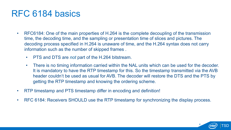#### RFC 6184 basics

- RFC6184: One of the main properties of H.264 is the complete decoupling of the transmission time, the decoding time, and the sampling or presentation time of slices and pictures. The decoding process specified in H.264 is unaware of time, and the H.264 syntax does not carry information such as the number of skipped frames .
	- PTS and DTS are *not* part of the H.264 bitstream.
	- There is no timing information carried within the NAL units which can be used for the decoder. It is mandatory to have the RTP timestamp for this. So the timestamp transmitted via the AVB header couldn't be used as usual for AVB. The decoder will restore the DTS and the PTS by getting the RTP timestamp and knowing the ordering scheme.
- RTP timestamp and PTS timestamp differ in encoding and definition!
- RFC 6184: Receivers SHOULD use the RTP timestamp for synchronizing the display process.

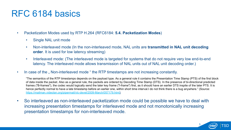#### RFC 6184 basics

- Packetization Modes used by RTP H.264 (RFC6184: **5.4. Packetization Modes**)
	- Single NAL unit mode
	- Non-interleaved mode (In the non-interleaved mode, NAL units are **transmitted in NAL unit decoding order**. It is used for low latency streaming)
	- Interleaved mode: (The interleaved mode is targeted for systems that do not require very low end-to-end latency. The interleaved mode allows transmission of NAL units out of NAL unit decoding order.)
- In case of the "Non-interleaved mode " the RTP timestamps are not increasing constantly.

"The semantics of the RTP timestamps depends on the payload type. As a general rule it contains the Presentation Time Stamp (PTS) of the first block of data inside the packet. Also as a general rule, the packets are ordered by Decoding Time Stamp (DTS). In the presence of bi-directional predicted frames ("B-frames"), the codec would logically send the later key frame ("I-frame") first, as it should have an earlier DTS inspite of the later PTS. It is hence perfectly normal to have a late timestamp before an earlier one, within short time interval.I do not think there is a bug anywhere." (Source: https://mailman.videolan.org/pipermail/vlc-devel/2009-March/057179.html)

• So interleaved as non-interleaved packetization mode could be possible we have to deal with increasing presentation timestamps for interleaved mode and not monotonically increasing presentation timestamps for non-interleaved mode.